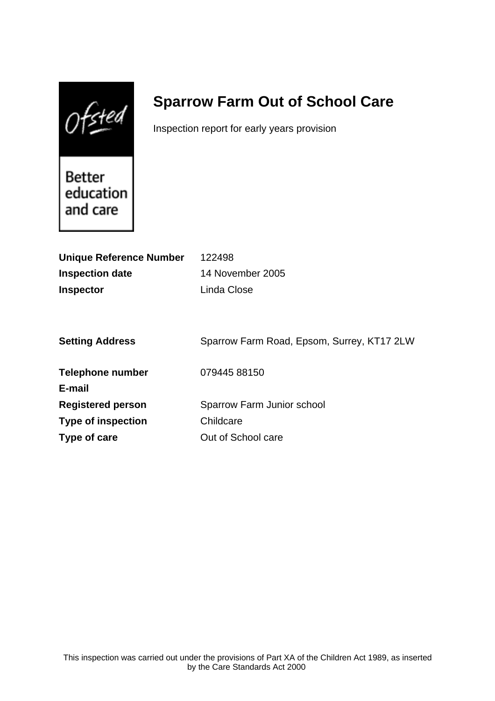$0$ fsted

# **Sparrow Farm Out of School Care**

Inspection report for early years provision

Better education and care

| <b>Unique Reference Number</b> | 122498                                     |
|--------------------------------|--------------------------------------------|
| <b>Inspection date</b>         | 14 November 2005                           |
| <b>Inspector</b>               | Linda Close                                |
|                                |                                            |
|                                |                                            |
| <b>Setting Address</b>         | Sparrow Farm Road, Epsom, Surrey, KT17 2LW |
| <b>Telephone number</b>        | 07944588150                                |
| E-mail                         |                                            |
| <b>Registered person</b>       | Sparrow Farm Junior school                 |
| <b>Type of inspection</b>      | Childcare                                  |
| Type of care                   | Out of School care                         |
|                                |                                            |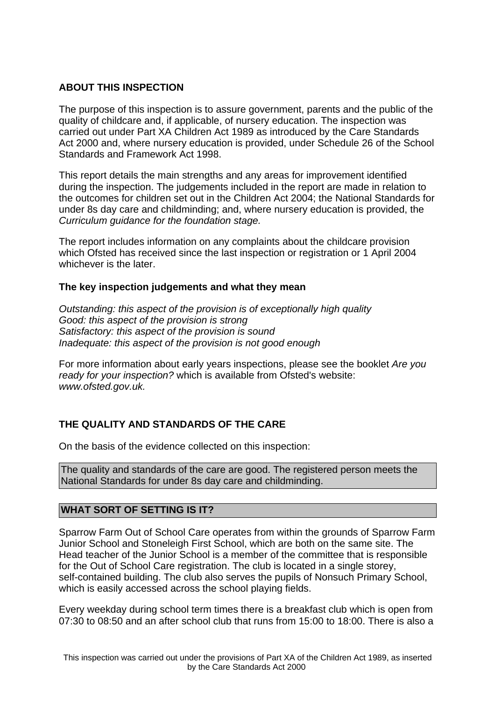## **ABOUT THIS INSPECTION**

The purpose of this inspection is to assure government, parents and the public of the quality of childcare and, if applicable, of nursery education. The inspection was carried out under Part XA Children Act 1989 as introduced by the Care Standards Act 2000 and, where nursery education is provided, under Schedule 26 of the School Standards and Framework Act 1998.

This report details the main strengths and any areas for improvement identified during the inspection. The judgements included in the report are made in relation to the outcomes for children set out in the Children Act 2004; the National Standards for under 8s day care and childminding; and, where nursery education is provided, the Curriculum guidance for the foundation stage.

The report includes information on any complaints about the childcare provision which Ofsted has received since the last inspection or registration or 1 April 2004 whichever is the later.

## **The key inspection judgements and what they mean**

Outstanding: this aspect of the provision is of exceptionally high quality Good: this aspect of the provision is strong Satisfactory: this aspect of the provision is sound Inadequate: this aspect of the provision is not good enough

For more information about early years inspections, please see the booklet Are you ready for your inspection? which is available from Ofsted's website: www.ofsted.gov.uk.

# **THE QUALITY AND STANDARDS OF THE CARE**

On the basis of the evidence collected on this inspection:

The quality and standards of the care are good. The registered person meets the National Standards for under 8s day care and childminding.

# **WHAT SORT OF SETTING IS IT?**

Sparrow Farm Out of School Care operates from within the grounds of Sparrow Farm Junior School and Stoneleigh First School, which are both on the same site. The Head teacher of the Junior School is a member of the committee that is responsible for the Out of School Care registration. The club is located in a single storey, self-contained building. The club also serves the pupils of Nonsuch Primary School, which is easily accessed across the school playing fields.

Every weekday during school term times there is a breakfast club which is open from 07:30 to 08:50 and an after school club that runs from 15:00 to 18:00. There is also a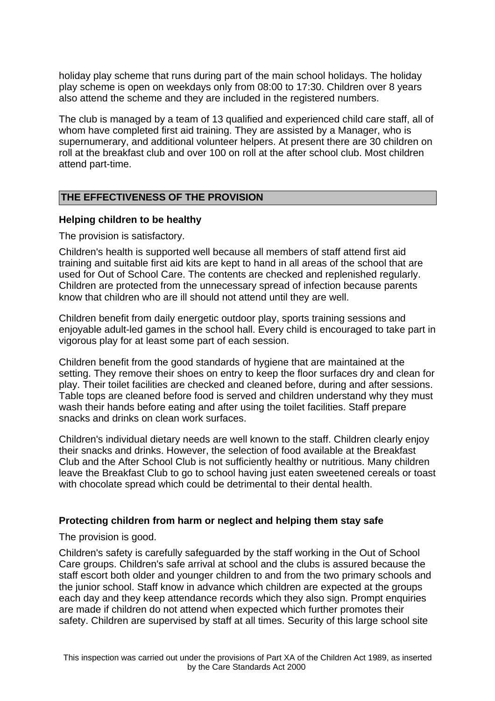holiday play scheme that runs during part of the main school holidays. The holiday play scheme is open on weekdays only from 08:00 to 17:30. Children over 8 years also attend the scheme and they are included in the registered numbers.

The club is managed by a team of 13 qualified and experienced child care staff, all of whom have completed first aid training. They are assisted by a Manager, who is supernumerary, and additional volunteer helpers. At present there are 30 children on roll at the breakfast club and over 100 on roll at the after school club. Most children attend part-time.

## **THE EFFECTIVENESS OF THE PROVISION**

#### **Helping children to be healthy**

The provision is satisfactory.

Children's health is supported well because all members of staff attend first aid training and suitable first aid kits are kept to hand in all areas of the school that are used for Out of School Care. The contents are checked and replenished regularly. Children are protected from the unnecessary spread of infection because parents know that children who are ill should not attend until they are well.

Children benefit from daily energetic outdoor play, sports training sessions and enjoyable adult-led games in the school hall. Every child is encouraged to take part in vigorous play for at least some part of each session.

Children benefit from the good standards of hygiene that are maintained at the setting. They remove their shoes on entry to keep the floor surfaces dry and clean for play. Their toilet facilities are checked and cleaned before, during and after sessions. Table tops are cleaned before food is served and children understand why they must wash their hands before eating and after using the toilet facilities. Staff prepare snacks and drinks on clean work surfaces.

Children's individual dietary needs are well known to the staff. Children clearly enjoy their snacks and drinks. However, the selection of food available at the Breakfast Club and the After School Club is not sufficiently healthy or nutritious. Many children leave the Breakfast Club to go to school having just eaten sweetened cereals or toast with chocolate spread which could be detrimental to their dental health.

#### **Protecting children from harm or neglect and helping them stay safe**

The provision is good.

Children's safety is carefully safeguarded by the staff working in the Out of School Care groups. Children's safe arrival at school and the clubs is assured because the staff escort both older and younger children to and from the two primary schools and the junior school. Staff know in advance which children are expected at the groups each day and they keep attendance records which they also sign. Prompt enquiries are made if children do not attend when expected which further promotes their safety. Children are supervised by staff at all times. Security of this large school site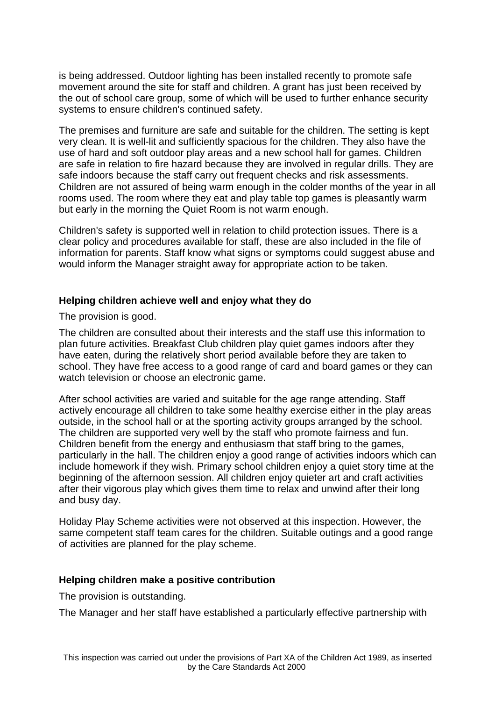is being addressed. Outdoor lighting has been installed recently to promote safe movement around the site for staff and children. A grant has just been received by the out of school care group, some of which will be used to further enhance security systems to ensure children's continued safety.

The premises and furniture are safe and suitable for the children. The setting is kept very clean. It is well-lit and sufficiently spacious for the children. They also have the use of hard and soft outdoor play areas and a new school hall for games. Children are safe in relation to fire hazard because they are involved in regular drills. They are safe indoors because the staff carry out frequent checks and risk assessments. Children are not assured of being warm enough in the colder months of the year in all rooms used. The room where they eat and play table top games is pleasantly warm but early in the morning the Quiet Room is not warm enough.

Children's safety is supported well in relation to child protection issues. There is a clear policy and procedures available for staff, these are also included in the file of information for parents. Staff know what signs or symptoms could suggest abuse and would inform the Manager straight away for appropriate action to be taken.

## **Helping children achieve well and enjoy what they do**

The provision is good.

The children are consulted about their interests and the staff use this information to plan future activities. Breakfast Club children play quiet games indoors after they have eaten, during the relatively short period available before they are taken to school. They have free access to a good range of card and board games or they can watch television or choose an electronic game.

After school activities are varied and suitable for the age range attending. Staff actively encourage all children to take some healthy exercise either in the play areas outside, in the school hall or at the sporting activity groups arranged by the school. The children are supported very well by the staff who promote fairness and fun. Children benefit from the energy and enthusiasm that staff bring to the games, particularly in the hall. The children enjoy a good range of activities indoors which can include homework if they wish. Primary school children enjoy a quiet story time at the beginning of the afternoon session. All children enjoy quieter art and craft activities after their vigorous play which gives them time to relax and unwind after their long and busy day.

Holiday Play Scheme activities were not observed at this inspection. However, the same competent staff team cares for the children. Suitable outings and a good range of activities are planned for the play scheme.

#### **Helping children make a positive contribution**

The provision is outstanding.

The Manager and her staff have established a particularly effective partnership with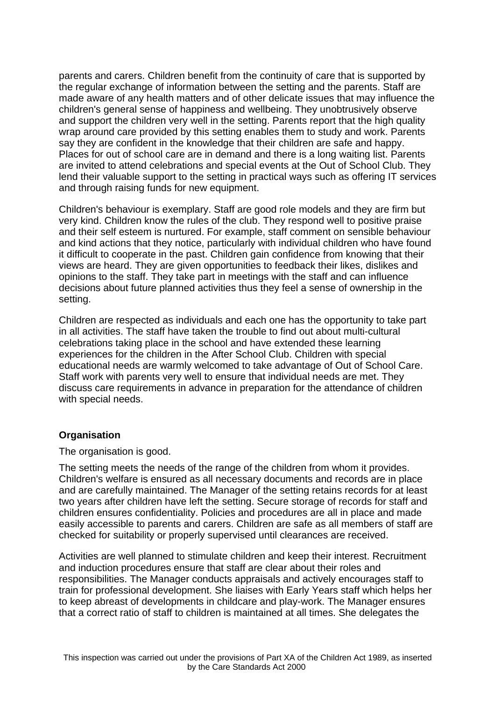parents and carers. Children benefit from the continuity of care that is supported by the regular exchange of information between the setting and the parents. Staff are made aware of any health matters and of other delicate issues that may influence the children's general sense of happiness and wellbeing. They unobtrusively observe and support the children very well in the setting. Parents report that the high quality wrap around care provided by this setting enables them to study and work. Parents say they are confident in the knowledge that their children are safe and happy. Places for out of school care are in demand and there is a long waiting list. Parents are invited to attend celebrations and special events at the Out of School Club. They lend their valuable support to the setting in practical ways such as offering IT services and through raising funds for new equipment.

Children's behaviour is exemplary. Staff are good role models and they are firm but very kind. Children know the rules of the club. They respond well to positive praise and their self esteem is nurtured. For example, staff comment on sensible behaviour and kind actions that they notice, particularly with individual children who have found it difficult to cooperate in the past. Children gain confidence from knowing that their views are heard. They are given opportunities to feedback their likes, dislikes and opinions to the staff. They take part in meetings with the staff and can influence decisions about future planned activities thus they feel a sense of ownership in the setting.

Children are respected as individuals and each one has the opportunity to take part in all activities. The staff have taken the trouble to find out about multi-cultural celebrations taking place in the school and have extended these learning experiences for the children in the After School Club. Children with special educational needs are warmly welcomed to take advantage of Out of School Care. Staff work with parents very well to ensure that individual needs are met. They discuss care requirements in advance in preparation for the attendance of children with special needs.

## **Organisation**

The organisation is good.

The setting meets the needs of the range of the children from whom it provides. Children's welfare is ensured as all necessary documents and records are in place and are carefully maintained. The Manager of the setting retains records for at least two years after children have left the setting. Secure storage of records for staff and children ensures confidentiality. Policies and procedures are all in place and made easily accessible to parents and carers. Children are safe as all members of staff are checked for suitability or properly supervised until clearances are received.

Activities are well planned to stimulate children and keep their interest. Recruitment and induction procedures ensure that staff are clear about their roles and responsibilities. The Manager conducts appraisals and actively encourages staff to train for professional development. She liaises with Early Years staff which helps her to keep abreast of developments in childcare and play-work. The Manager ensures that a correct ratio of staff to children is maintained at all times. She delegates the